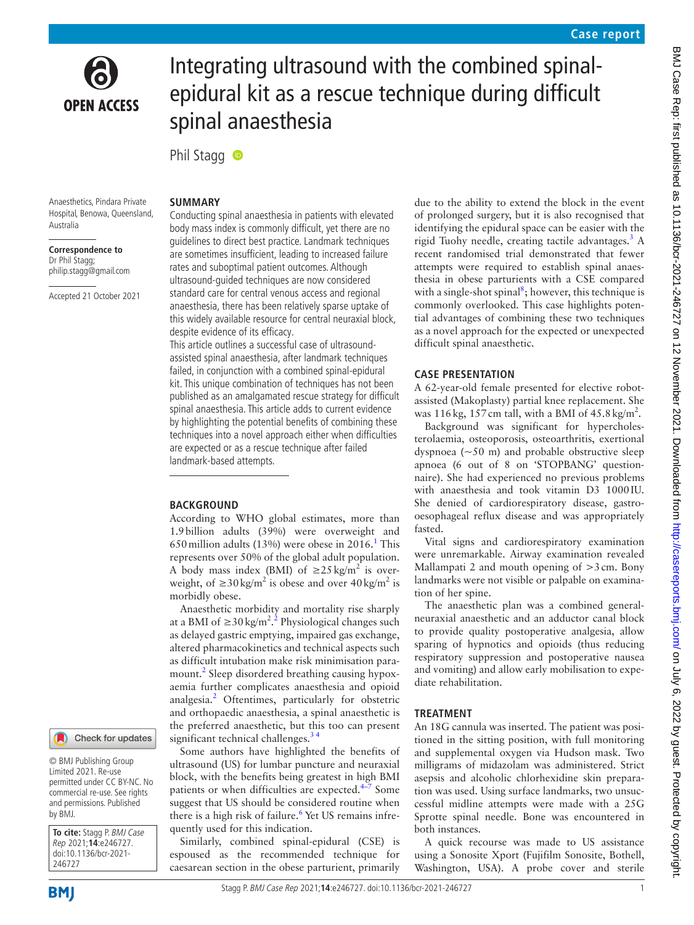

# Integrating ultrasound with the combined spinalepidural kit as a rescue technique during difficult spinal anaesthesia

PhilStagg **®** 

Anaesthetics, Pindara Private Hospital, Benowa, Queensland, Australia

**Correspondence to** Dr Phil Stagg; philip.stagg@gmail.com

Accepted 21 October 2021

## **SUMMARY**

Conducting spinal anaesthesia in patients with elevated body mass index is commonly difficult, yet there are no guidelines to direct best practice. Landmark techniques are sometimes insufficient, leading to increased failure rates and suboptimal patient outcomes. Although ultrasound-guided techniques are now considered standard care for central venous access and regional anaesthesia, there has been relatively sparse uptake of this widely available resource for central neuraxial block, despite evidence of its efficacy.

This article outlines a successful case of ultrasoundassisted spinal anaesthesia, after landmark techniques failed, in conjunction with a combined spinal-epidural kit. This unique combination of techniques has not been published as an amalgamated rescue strategy for difficult spinal anaesthesia. This article adds to current evidence by highlighting the potential benefits of combining these techniques into a novel approach either when difficulties are expected or as a rescue technique after failed landmark-based attempts.

## **BACKGROUND**

According to WHO global estimates, more than 1.9billion adults (39%) were overweight and 650 million adults ([1](#page-3-0)3%) were obese in  $2016$ .<sup>1</sup> This represents over 50% of the global adult population. A body mass index (BMI) of  $\geq 25 \text{ kg/m}^2$  is overweight, of  $\geq 30 \text{ kg/m}^2$  is obese and over  $40 \text{ kg/m}^2$  is morbidly obese.

Anaesthetic morbidity and mortality rise sharply at a BMI of ≥30 kg/m<sup>[2](#page-3-1) 2</sup>.<sup>2</sup> Physiological changes such as delayed gastric emptying, impaired gas exchange, altered pharmacokinetics and technical aspects such as difficult intubation make risk minimisation para-mount.<sup>[2](#page-3-1)</sup> Sleep disordered breathing causing hypoxaemia further complicates anaesthesia and opioid analgesia.<sup>[2](#page-3-1)</sup> Oftentimes, particularly for obstetric and orthopaedic anaesthesia, a spinal anaesthetic is the preferred anaesthetic, but this too can present significant technical challenges. $34$ 

Some authors have highlighted the benefits of ultrasound (US) for lumbar puncture and neuraxial block, with the benefits being greatest in high BMI patients or when difficulties are expected.<sup>4–7</sup> Some suggest that US should be considered routine when there is a high risk of failure.<sup>[6](#page-3-4)</sup> Yet US remains infrequently used for this indication.

Similarly, combined spinal-epidural (CSE) is espoused as the recommended technique for caesarean section in the obese parturient, primarily due to the ability to extend the block in the event of prolonged surgery, but it is also recognised that identifying the epidural space can be easier with the rigid Tuohy needle, creating tactile advantages. $3$  A recent randomised trial demonstrated that fewer attempts were required to establish spinal anaesthesia in obese parturients with a CSE compared with a single-shot spinal<sup>[8](#page-3-5)</sup>; however, this technique is commonly overlooked. This case highlights potential advantages of combining these two techniques as a novel approach for the expected or unexpected difficult spinal anaesthetic.

## **CASE PRESENTATION**

A 62-year-old female presented for elective robotassisted (Makoplasty) partial knee replacement. She was 116 kg, 157 cm tall, with a BMI of  $45.8 \text{ kg/m}^2$ .

Background was significant for hypercholesterolaemia, osteoporosis, osteoarthritis, exertional dyspnoea  $(\sim 50 \text{ m})$  and probable obstructive sleep apnoea (6 out of 8 on 'STOPBANG' questionnaire). She had experienced no previous problems with anaesthesia and took vitamin D3 1000IU. She denied of cardiorespiratory disease, gastrooesophageal reflux disease and was appropriately fasted.

Vital signs and cardiorespiratory examination were unremarkable. Airway examination revealed Mallampati 2 and mouth opening of  $>3$  cm. Bony landmarks were not visible or palpable on examination of her spine.

The anaesthetic plan was a combined generalneuraxial anaesthetic and an adductor canal block to provide quality postoperative analgesia, allow sparing of hypnotics and opioids (thus reducing respiratory suppression and postoperative nausea and vomiting) and allow early mobilisation to expediate rehabilitation.

### **TREATMENT**

An 18G cannula was inserted. The patient was positioned in the sitting position, with full monitoring and supplemental oxygen via Hudson mask. Two milligrams of midazolam was administered. Strict asepsis and alcoholic chlorhexidine skin preparation was used. Using surface landmarks, two unsuccessful midline attempts were made with a 25G Sprotte spinal needle. Bone was encountered in both instances.

A quick recourse was made to US assistance using a Sonosite Xport (Fujifilm Sonosite, Bothell, Washington, USA). A probe cover and sterile

246727

by BMJ.

**To cite:** Stagg P. BMJ Case Rep 2021;**14**:e246727. doi:10.1136/bcr-2021-

© BMJ Publishing Group Limited 2021. Re-use permitted under CC BY-NC. No commercial re-use. See rights and permissions. Published

Check for updates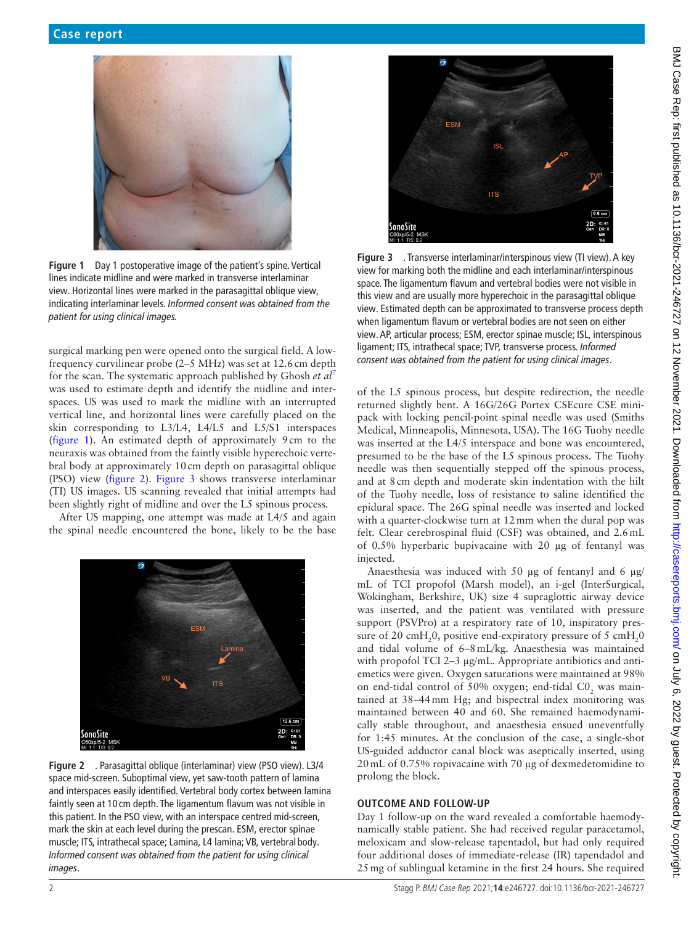

**Figure 1** Day 1 postoperative image of the patient's spine. Vertical lines indicate midline and were marked in transverse interlaminar view. Horizontal lines were marked in the parasagittal oblique view, indicating interlaminar levels. *Informed consent was obtained from the patient for using clinical images.*

<span id="page-1-0"></span>surgical marking pen were opened onto the surgical field. A lowfrequency curvilinear probe (2–5 MHz) was set at 12.6cm depth for the scan. The systematic approach published by Ghosh *et al*[7](#page-3-6) was used to estimate depth and identify the midline and interspaces. US was used to mark the midline with an interrupted vertical line, and horizontal lines were carefully placed on the skin corresponding to L3/L4, L4/L5 and L5/S1 interspaces ([figure](#page-1-0) 1). An estimated depth of approximately 9cm to the neuraxis was obtained from the faintly visible hyperechoic vertebral body at approximately 10cm depth on parasagittal oblique (PSO) view [\(figure](#page-1-1) 2). [Figure](#page-1-2) 3 shows transverse interlaminar (TI) US images. US scanning revealed that initial attempts had been slightly right of midline and over the L5 spinous process.

After US mapping, one attempt was made at L4/5 and again the spinal needle encountered the bone, likely to be the base

<span id="page-1-1"></span>

**Figure 2** . Parasagittal oblique (interlaminar) view (PSO view). L3/4 space mid-screen. Suboptimal view, yet saw-tooth pattern of lamina and interspaces easily identified. Vertebral body cortex between lamina faintly seen at 10 cm depth. The ligamentum flavum was not visible in this patient. In the PSO view, with an interspace centred mid-screen, mark the skin at each level during the prescan. ESM, erector spinae muscle; ITS, intrathecal space; Lamina, L4 lamina; VB, vertebral body. *Informed consent was obtained from the patient for using clinical images*.



**Figure 3** . Transverse interlaminar/interspinous view (TI view). A key view for marking both the midline and each interlaminar/interspinous space. The ligamentum flavum and vertebral bodies were not visible in this view and are usually more hyperechoic in the parasagittal oblique view. Estimated depth can be approximated to transverse process depth when ligamentum flavum or vertebral bodies are not seen on either view. AP, articular process; ESM, erector spinae muscle; ISL, interspinous ligament; ITS, intrathecal space; TVP, transverse process. *Informed consent was obtained from the patient for using clinical images*.

<span id="page-1-2"></span>of the L5 spinous process, but despite redirection, the needle returned slightly bent. A 16G/26G Portex CSEcure CSE minipack with locking pencil-point spinal needle was used (Smiths Medical, Minneapolis, Minnesota, USA). The 16G Tuohy needle was inserted at the L4/5 interspace and bone was encountered, presumed to be the base of the L5 spinous process. The Tuohy needle was then sequentially stepped off the spinous process, and at 8cm depth and moderate skin indentation with the hilt of the Tuohy needle, loss of resistance to saline identified the epidural space. The 26G spinal needle was inserted and locked with a quarter-clockwise turn at 12mm when the dural pop was felt. Clear cerebrospinal fluid (CSF) was obtained, and 2.6mL of 0.5% hyperbaric bupivacaine with 20 µg of fentanyl was injected.

Anaesthesia was induced with 50 µg of fentanyl and 6 µg/ mL of TCI propofol (Marsh model), an i-gel (InterSurgical, Wokingham, Berkshire, UK) size 4 supraglottic airway device was inserted, and the patient was ventilated with pressure support (PSVPro) at a respiratory rate of 10, inspiratory pressure of 20 cmH<sub>2</sub>0, positive end-expiratory pressure of 5 cmH<sub>2</sub>0 and tidal volume of 6–8mL/kg. Anaesthesia was maintained with propofol TCI 2–3 µg/mL. Appropriate antibiotics and antiemetics were given. Oxygen saturations were maintained at 98% on end-tidal control of 50% oxygen; end-tidal  $CO_2$  was maintained at 38–44mm Hg; and bispectral index monitoring was maintained between 40 and 60. She remained haemodynamically stable throughout, and anaesthesia ensued uneventfully for 1:45 minutes. At the conclusion of the case, a single-shot US-guided adductor canal block was aseptically inserted, using 20mL of 0.75% ropivacaine with 70 µg of dexmedetomidine to prolong the block.

## **OUTCOME AND FOLLOW-UP**

Day 1 follow-up on the ward revealed a comfortable haemodynamically stable patient. She had received regular paracetamol, meloxicam and slow-release tapentadol, but had only required four additional doses of immediate-release (IR) tapendadol and 25mg of sublingual ketamine in the first 24 hours. She required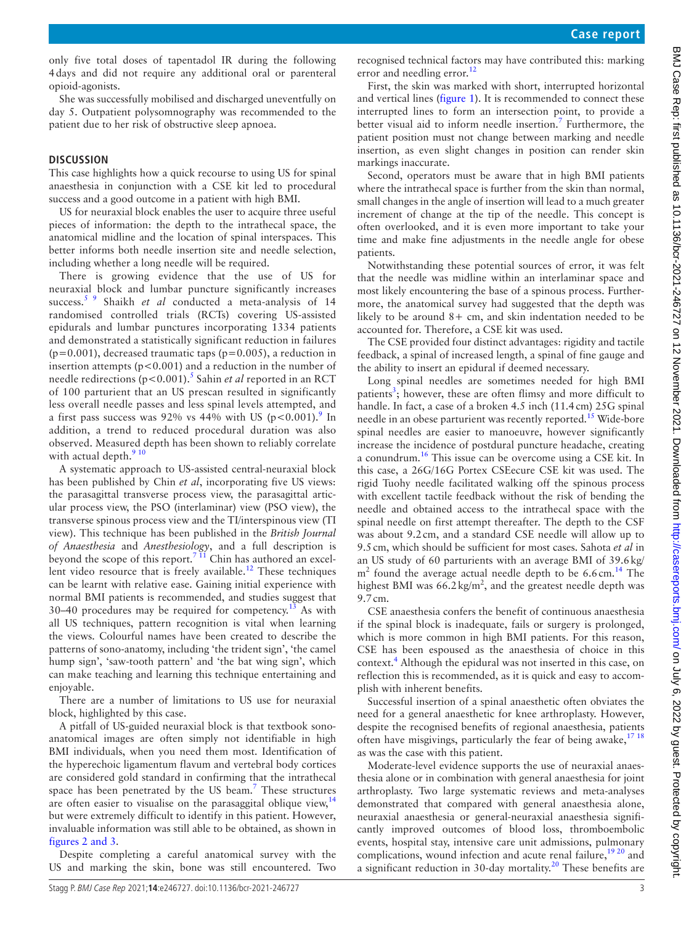only five total doses of tapentadol IR during the following 4days and did not require any additional oral or parenteral opioid-agonists.

She was successfully mobilised and discharged uneventfully on day 5. Outpatient polysomnography was recommended to the patient due to her risk of obstructive sleep apnoea.

## **DISCUSSION**

This case highlights how a quick recourse to using US for spinal anaesthesia in conjunction with a CSE kit led to procedural success and a good outcome in a patient with high BMI.

US for neuraxial block enables the user to acquire three useful pieces of information: the depth to the intrathecal space, the anatomical midline and the location of spinal interspaces. This better informs both needle insertion site and needle selection, including whether a long needle will be required.

There is growing evidence that the use of US for neuraxial block and lumbar puncture significantly increases success.<sup>5</sup> 9 Shaikh *et al* conducted a meta-analysis of 14 randomised controlled trials (RCTs) covering US-assisted epidurals and lumbar punctures incorporating 1334 patients and demonstrated a statistically significant reduction in failures  $(p=0.001)$ , decreased traumatic taps  $(p=0.005)$ , a reduction in insertion attempts ( $p < 0.001$ ) and a reduction in the number of needle redirections (p<0.001).<sup>[5](#page-3-7)</sup> Sahin *et al* reported in an RCT of 100 parturient that an US prescan resulted in significantly less overall needle passes and less spinal levels attempted, and a first pass success was [9](#page-3-8)2% vs 44% with US ( $p < 0.001$ ).<sup>9</sup> In addition, a trend to reduced procedural duration was also observed. Measured depth has been shown to reliably correlate with actual depth. $910$ 

A systematic approach to US-assisted central-neuraxial block has been published by Chin *et al*, incorporating five US views: the parasagittal transverse process view, the parasagittal articular process view, the PSO (interlaminar) view (PSO view), the transverse spinous process view and the TI/interspinous view (TI view). This technique has been published in the *British Journal of Anaesthesia* and *Anesthesiology*, and a full description is beyond the scope of this report.<sup>7  $\overline{11}$ </sup> Chin has authored an excellent video resource that is freely available.<sup>12</sup> These techniques can be learnt with relative ease. Gaining initial experience with normal BMI patients is recommended, and studies suggest that 30–40 procedures may be required for competency.[13](#page-3-10) As with all US techniques, pattern recognition is vital when learning the views. Colourful names have been created to describe the patterns of sono-anatomy, including 'the trident sign', 'the camel hump sign', 'saw-tooth pattern' and 'the bat wing sign', which can make teaching and learning this technique entertaining and enjoyable.

There are a number of limitations to US use for neuraxial block, highlighted by this case.

A pitfall of US-guided neuraxial block is that textbook sonoanatomical images are often simply not identifiable in high BMI individuals, when you need them most. Identification of the hyperechoic ligamentum flavum and vertebral body cortices are considered gold standard in confirming that the intrathecal space has been penetrated by the US beam.<sup>7</sup> These structures are often easier to visualise on the parasaggital oblique view, $14$ but were extremely difficult to identify in this patient. However, invaluable information was still able to be obtained, as shown in figures [2 and 3.](#page-1-1)

Despite completing a careful anatomical survey with the US and marking the skin, bone was still encountered. Two

recognised technical factors may have contributed this: marking error and needling error.<sup>[12](#page-3-9)</sup>

First, the skin was marked with short, interrupted horizontal and vertical lines ([figure](#page-1-0) 1). It is recommended to connect these interrupted lines to form an intersection point, to provide a better visual aid to inform needle insertion.<sup>7</sup> Furthermore, the patient position must not change between marking and needle insertion, as even slight changes in position can render skin markings inaccurate.

Second, operators must be aware that in high BMI patients where the intrathecal space is further from the skin than normal, small changes in the angle of insertion will lead to a much greater increment of change at the tip of the needle. This concept is often overlooked, and it is even more important to take your time and make fine adjustments in the needle angle for obese patients.

Notwithstanding these potential sources of error, it was felt that the needle was midline within an interlaminar space and most likely encountering the base of a spinous process. Furthermore, the anatomical survey had suggested that the depth was likely to be around  $8+$  cm, and skin indentation needed to be accounted for. Therefore, a CSE kit was used.

The CSE provided four distinct advantages: rigidity and tactile feedback, a spinal of increased length, a spinal of fine gauge and the ability to insert an epidural if deemed necessary.

Long spinal needles are sometimes needed for high BMI patients<sup>[3](#page-3-2)</sup>; however, these are often flimsy and more difficult to handle. In fact, a case of a broken 4.5 inch (11.4cm) 25G spinal needle in an obese parturient was recently reported.<sup>15</sup> Wide-bore spinal needles are easier to manoeuvre, however significantly increase the incidence of postdural puncture headache, creating a conundrum[.16](#page-3-13) This issue can be overcome using a CSE kit. In this case, a 26G/16G Portex CSEecure CSE kit was used. The rigid Tuohy needle facilitated walking off the spinous process with excellent tactile feedback without the risk of bending the needle and obtained access to the intrathecal space with the spinal needle on first attempt thereafter. The depth to the CSF was about 9.2cm, and a standard CSE needle will allow up to 9.5cm, which should be sufficient for most cases. Sahota *et al* in an US study of 60 parturients with an average BMI of 39.6kg/  $m<sup>2</sup>$  found the average actual needle depth to be 6.6 cm.<sup>14</sup> The highest BMI was  $66.2 \text{ kg/m}^2$ , and the greatest needle depth was 9.7cm.

CSE anaesthesia confers the benefit of continuous anaesthesia if the spinal block is inadequate, fails or surgery is prolonged, which is more common in high BMI patients. For this reason, CSE has been espoused as the anaesthesia of choice in this context.<sup>4</sup> Although the epidural was not inserted in this case, on reflection this is recommended, as it is quick and easy to accomplish with inherent benefits.

Successful insertion of a spinal anaesthetic often obviates the need for a general anaesthetic for knee arthroplasty. However, despite the recognised benefits of regional anaesthesia, patients often have misgivings, particularly the fear of being awake,<sup>[17 18](#page-3-14)</sup> as was the case with this patient.

Moderate-level evidence supports the use of neuraxial anaesthesia alone or in combination with general anaesthesia for joint arthroplasty. Two large systematic reviews and meta-analyses demonstrated that compared with general anaesthesia alone, neuraxial anaesthesia or general-neuraxial anaesthesia significantly improved outcomes of blood loss, thromboembolic events, hospital stay, intensive care unit admissions, pulmonary complications, wound infection and acute renal failure,<sup>[19 20](#page-3-15)</sup> and a significant reduction in 30-day mortality.<sup>20</sup> These benefits are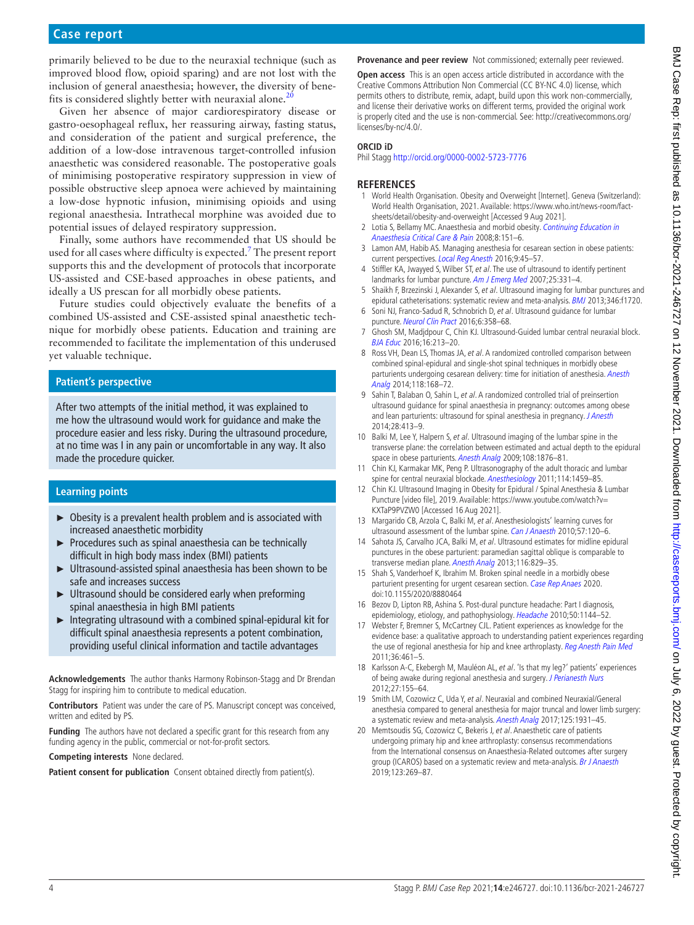# **Case report**

primarily believed to be due to the neuraxial technique (such as improved blood flow, opioid sparing) and are not lost with the inclusion of general anaesthesia; however, the diversity of benefits is considered slightly better with neuraxial alone.<sup>2</sup>

Given her absence of major cardiorespiratory disease or gastro-oesophageal reflux, her reassuring airway, fasting status, and consideration of the patient and surgical preference, the addition of a low-dose intravenous target-controlled infusion anaesthetic was considered reasonable. The postoperative goals of minimising postoperative respiratory suppression in view of possible obstructive sleep apnoea were achieved by maintaining a low-dose hypnotic infusion, minimising opioids and using regional anaesthesia. Intrathecal morphine was avoided due to potential issues of delayed respiratory suppression.

Finally, some authors have recommended that US should be used for all cases where difficulty is expected.<sup>[7](#page-3-6)</sup> The present report supports this and the development of protocols that incorporate US-assisted and CSE-based approaches in obese patients, and ideally a US prescan for all morbidly obese patients.

Future studies could objectively evaluate the benefits of a combined US-assisted and CSE-assisted spinal anaesthetic technique for morbidly obese patients. Education and training are recommended to facilitate the implementation of this underused yet valuable technique.

## **Patient's perspective**

After two attempts of the initial method, it was explained to me how the ultrasound would work for guidance and make the procedure easier and less risky. During the ultrasound procedure, at no time was I in any pain or uncomfortable in any way. It also made the procedure quicker.

## **Learning points**

- ► Obesity is a prevalent health problem and is associated with increased anaesthetic morbidity
- ► Procedures such as spinal anaesthesia can be technically difficult in high body mass index (BMI) patients
- ► Ultrasound-assisted spinal anaesthesia has been shown to be safe and increases success
- ► Ultrasound should be considered early when preforming spinal anaesthesia in high BMI patients
- $\blacktriangleright$  Integrating ultrasound with a combined spinal-epidural kit for difficult spinal anaesthesia represents a potent combination, providing useful clinical information and tactile advantages

**Acknowledgements** The author thanks Harmony Robinson-Stagg and Dr Brendan Stagg for inspiring him to contribute to medical education.

**Contributors** Patient was under the care of PS. Manuscript concept was conceived, written and edited by PS.

**Funding** The authors have not declared a specific grant for this research from any funding agency in the public, commercial or not-for-profit sectors.

**Competing interests** None declared.

Patient consent for publication Consent obtained directly from patient(s).

**Provenance and peer review** Not commissioned; externally peer reviewed.

**Open access** This is an open access article distributed in accordance with the Creative Commons Attribution Non Commercial (CC BY-NC 4.0) license, which permits others to distribute, remix, adapt, build upon this work non-commercially, and license their derivative works on different terms, provided the original work is properly cited and the use is non-commercial. See: [http://creativecommons.org/](http://creativecommons.org/licenses/by-nc/4.0/) [licenses/by-nc/4.0/.](http://creativecommons.org/licenses/by-nc/4.0/)

#### **ORCID iD**

Phil Stagg <http://orcid.org/0000-0002-5723-7776>

## **REFERENCES**

- <span id="page-3-0"></span>1 World Health Organisation. Obesity and Overweight [Internet]. Geneva (Switzerland): World Health Organisation, 2021. Available: [https://www.who.int/news-room/fact](https://www.who.int/news-room/fact-sheets/detail/obesity-and-overweight)[sheets/detail/obesity-and-overweight](https://www.who.int/news-room/fact-sheets/detail/obesity-and-overweight) [Accessed 9 Aug 2021].
- <span id="page-3-1"></span>2 Lotia S, Bellamy MC. Anaesthesia and morbid obesity. Continuing Education in [Anaesthesia Critical Care & Pain](http://dx.doi.org/10.1093/bjaceaccp/mkn030) 2008;8:151–6.
- <span id="page-3-2"></span>3 Lamon AM, Habib AS. Managing anesthesia for cesarean section in obese patients: current perspectives. [Local Reg Anesth](http://dx.doi.org/10.2147/LRA.S64279) 2016;9:45-57.
- <span id="page-3-3"></span>4 Stiffler KA, Jwayyed S, Wilber ST, et al. The use of ultrasound to identify pertinent landmarks for lumbar puncture. [Am J Emerg Med](http://dx.doi.org/10.1016/j.ajem.2006.07.010) 2007;25:331-4.
- <span id="page-3-7"></span>5 Shaikh F, Brzezinski J, Alexander S, et al. Ultrasound imaging for lumbar punctures and epidural catheterisations: systematic review and meta-analysis. **[BMJ](http://dx.doi.org/10.1136/bmj.f1720)** 2013;346:f1720.
- <span id="page-3-4"></span>6 Soni NJ, Franco-Sadud R, Schnobrich D, et al. Ultrasound guidance for lumbar puncture. [Neurol Clin Pract](http://dx.doi.org/10.1212/CPJ.0000000000000265) 2016;6:358–68.
- <span id="page-3-6"></span>7 Ghosh SM, Madjdpour C, Chin KJ. Ultrasound-Guided lumbar central neuraxial block. [BJA Educ](http://dx.doi.org/10.1093/bjaed/mkv048) 2016;16:213–20.
- <span id="page-3-5"></span>8 Ross VH, Dean LS, Thomas JA, et al. A randomized controlled comparison between combined spinal-epidural and single-shot spinal techniques in morbidly obese parturients undergoing cesarean delivery: time for initiation of anesthesia. Anesth [Analg](http://dx.doi.org/10.1213/ANE.0000000000000022) 2014;118:168–72.
- <span id="page-3-8"></span>9 Sahin T, Balaban O, Sahin L, et al. A randomized controlled trial of preinsertion ultrasound guidance for spinal anaesthesia in pregnancy: outcomes among obese and lean parturients: ultrasound for spinal anesthesia in pregnancy. [J Anesth](http://dx.doi.org/10.1007/s00540-013-1726-1) 2014;28:413–9.
- 10 Balki M, Lee Y, Halpern S, et al. Ultrasound imaging of the lumbar spine in the transverse plane: the correlation between estimated and actual depth to the epidural space in obese parturients. [Anesth Analg](http://dx.doi.org/10.1213/ane.0b013e3181a323f6) 2009;108:1876-81.
- 11 Chin KJ, Karmakar MK, Peng P. Ultrasonography of the adult thoracic and lumbar spine for central neuraxial blockade. [Anesthesiology](http://dx.doi.org/10.1097/ALN.0b013e318210f9f8) 2011;114:1459-85.
- <span id="page-3-9"></span>12 Chin KJ. Ultrasound Imaging in Obesity for Epidural / Spinal Anesthesia & Lumbar Puncture [video file], 2019. Available: [https://www.youtube.com/watch?v=](https://www.youtube.com/watch?v=KXTaP9PVZW0) [KXTaP9PVZW0](https://www.youtube.com/watch?v=KXTaP9PVZW0) [Accessed 16 Aug 2021].
- <span id="page-3-10"></span>13 Margarido CB, Arzola C, Balki M, et al. Anesthesiologists' learning curves for ultrasound assessment of the lumbar spine. [Can J Anaesth](http://dx.doi.org/10.1007/s12630-009-9219-2) 2010;57:120-6.
- <span id="page-3-11"></span>14 Sahota JS, Carvalho JCA, Balki M, et al. Ultrasound estimates for midline epidural punctures in the obese parturient: paramedian sagittal oblique is comparable to transverse median plane. [Anesth Analg](http://dx.doi.org/10.1213/ANE.0b013e31827f55f0) 2013;116:829-35.
- <span id="page-3-12"></span>15 Shah S, Vanderhoef K, Ibrahim M. Broken spinal needle in a morbidly obese parturient presenting for urgent cesarean section. [Case Rep Anaes](http://dx.doi.org/10.1155/2020/8880464) 2020. doi:10.1155/2020/8880464
- <span id="page-3-13"></span>16 Bezov D, Lipton RB, Ashina S. Post-dural puncture headache: Part I diagnosis, epidemiology, etiology, and pathophysiology. [Headache](http://dx.doi.org/10.1111/j.1526-4610.2010.01699.x) 2010;50:1144-52.
- <span id="page-3-14"></span>17 Webster F, Bremner S, McCartney CJL. Patient experiences as knowledge for the evidence base: a qualitative approach to understanding patient experiences regarding the use of regional anesthesia for hip and knee arthroplasty. [Reg Anesth Pain Med](http://dx.doi.org/10.1097/AAP.0b013e31822940be) 2011;36:461–5.
- 18 Karlsson A-C, Ekebergh M, Mauléon AL, et al. 'Is that my leg?' patients' experiences of being awake during regional anesthesia and surgery. [J Perianesth Nurs](http://dx.doi.org/10.1016/j.jopan.2012.02.005) 2012;27:155–64.
- <span id="page-3-15"></span>19 Smith LM, Cozowicz C, Uda Y, et al. Neuraxial and combined Neuraxial/General anesthesia compared to general anesthesia for major truncal and lower limb surgery: a systematic review and meta-analysis. [Anesth Analg](http://dx.doi.org/10.1213/ANE.0000000000002069) 2017;125:1931-45.
- <span id="page-3-16"></span>20 Memtsoudis SG, Cozowicz C, Bekeris J, et al. Anaesthetic care of patients undergoing primary hip and knee arthroplasty: consensus recommendations from the International consensus on Anaesthesia-Related outcomes after surgery group (ICAROS) based on a systematic review and meta-analysis. [Br J Anaesth](http://dx.doi.org/10.1016/j.bja.2019.05.042) 2019;123:269–87.